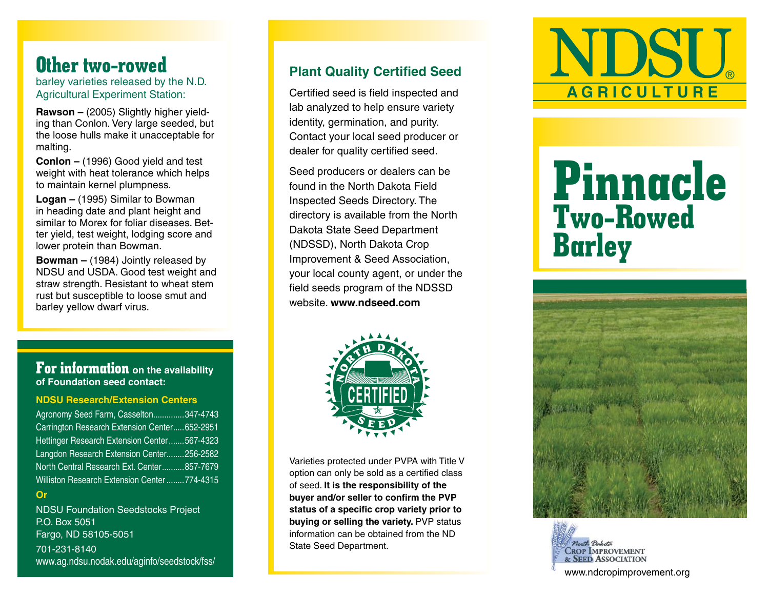### **Other two-rowed**

barley varieties released by the N.D. Agricultural Experiment Station:

**Rawson –** (2005) Slightly higher yielding than Conlon. Very large seeded, but the loose hulls make it unacceptable for malting.

**Conlon –** (1996) Good yield and test weight with heat tolerance which helps to maintain kernel plumpness.

**Logan –** (1995) Similar to Bowman in heading date and plant height and similar to Morex for foliar diseases. Better yield, test weight, lodging score and lower protein than Bowman.

**Bowman –** (1984) Jointly released by NDSU and USDA. Good test weight and straw strength. Resistant to wheat stem rust but susceptible to loose smut and barley yellow dwarf virus.

#### **For information on the availability of Foundation seed contact:**

#### **NDSU Research/Extension Centers**

| Agronomy Seed Farm, Casselton347-4743        |  |
|----------------------------------------------|--|
| Carrington Research Extension Center652-2951 |  |
| Hettinger Research Extension Center567-4323  |  |
| Langdon Research Extension Center256-2582    |  |
| North Central Research Ext. Center857-7679   |  |
| Williston Research Extension Center 774-4315 |  |

#### **Or**

NDSU Foundation Seedstocks Project P.O. Box 5051 Fargo, ND 58105-5051

701-231-8140 www.ag.ndsu.nodak.edu/aginfo/seedstock/fss/

#### **Plant Quality Certified Seed**

Certified seed is field inspected and lab analyzed to help ensure variety identity, germination, and purity. Contact your local seed producer or dealer for quality certified seed.

Seed producers or dealers can be found in the North Dakota Field Inspected Seeds Directory. The directory is available from the North Dakota State Seed Department (NDSSD), North Dakota Crop Improvement & Seed Association, your local county agent, or under the field seeds program of the NDSSD website. **www.ndseed.com**



Varieties protected under PVPA with Title V option can only be sold as a certified class of seed. **It is the responsibility of the**  buyer and/or seller to confirm the PVP status of a specific crop variety prior to **buying or selling the variety.** PVP status information can be obtained from the ND State Seed Department.



## **Pinnacle Two-Rowed Barley**



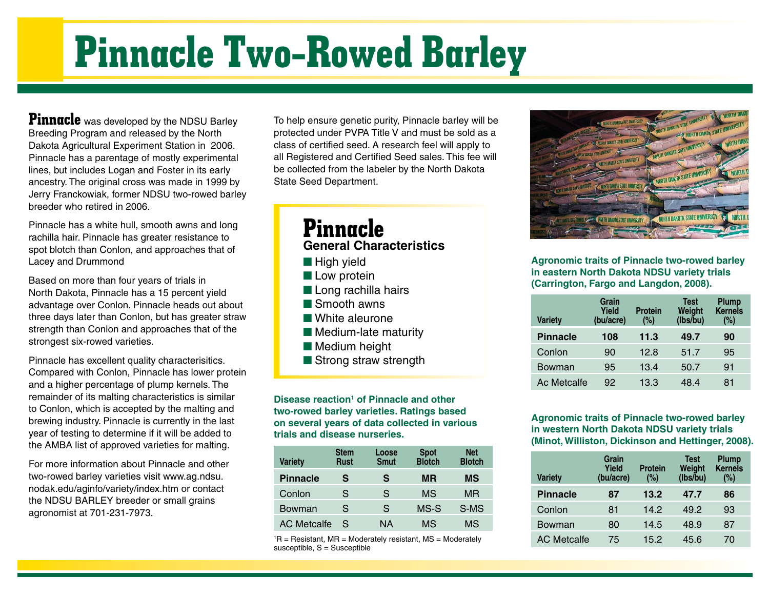# **Pinnacle Two-Rowed Barley**

**Pinnacle** was developed by the NDSU Barley Breeding Program and released by the North Dakota Agricultural Experiment Station in 2006. Pinnacle has a parentage of mostly experimental lines, but includes Logan and Foster in its early ancestry. The original cross was made in 1999 by Jerry Franckowiak, former NDSU two-rowed barley breeder who retired in 2006.

Pinnacle has a white hull, smooth awns and long rachilla hair. Pinnacle has greater resistance to spot blotch than Conlon, and approaches that of Lacey and Drummond

Based on more than four years of trials in North Dakota, Pinnacle has a 15 percent yield advantage over Conlon. Pinnacle heads out about three days later than Conlon, but has greater straw strength than Conlon and approaches that of the strongest six-rowed varieties.

Pinnacle has excellent quality characterisitics. Compared with Conlon, Pinnacle has lower protein and a higher percentage of plump kernels. The remainder of its malting characteristics is similar to Conlon, which is accepted by the malting and brewing industry. Pinnacle is currently in the last year of testing to determine if it will be added to the AMBA list of approved varieties for malting.

For more information about Pinnacle and other two-rowed barley varieties visit www.ag.ndsu. nodak.edu/aginfo/variety/index.htm or contact the NDSU BARLEY breeder or small grains agronomist at 701-231-7973.

To help ensure genetic purity, Pinnacle barley will be protected under PVPA Title V and must be sold as a class of certified seed. A research feel will apply to all Registered and Certified Seed sales. This fee will be collected from the labeler by the North Dakota State Seed Department.

| Pinnacle<br><b>General Characteristics</b> |
|--------------------------------------------|
| <b>High yield</b>                          |

- Low protein
- Long rachilla hairs
- Smooth awns
- White aleurone
- Medium-late maturity
- Medium height
- Strong straw strength

**Disease reaction<sup>1</sup> of Pinnacle and other two-rowed barley varieties. Ratings based on several years of data collected in various trials and disease nurseries.**

| <b>Variety</b>     | <b>Stem</b><br><b>Rust</b> | Loose<br><b>Smut</b> | <b>Spot</b><br><b>Blotch</b> | <b>Net</b><br><b>Blotch</b> |
|--------------------|----------------------------|----------------------|------------------------------|-----------------------------|
| <b>Pinnacle</b>    | S                          | S                    | <b>MR</b>                    | <b>MS</b>                   |
| Conlon             | S                          | S                    | <b>MS</b>                    | <b>MR</b>                   |
| Bowman             | S                          | S                    | MS-S                         | S-MS                        |
| <b>AC Metcalfe</b> | S                          | ΝA                   | MS                           | <b>MS</b>                   |

 ${}^{1}R$  = Resistant, MR = Moderately resistant, MS = Moderately susceptible, S = Susceptible



**Agronomic traits of Pinnacle two-rowed barley in eastern North Dakota NDSU variety trials (Carrington, Fargo and Langdon, 2008).**

| <b>Variety</b>  | Grain<br>Yield<br>(bu/acre) | <b>Protein</b><br>(%) | <b>Test</b><br>Weight<br>(lbs/bu) | <b>Plump</b><br><b>Kernels</b><br>$(\%)$ |
|-----------------|-----------------------------|-----------------------|-----------------------------------|------------------------------------------|
| <b>Pinnacle</b> | 108                         | 11.3                  | 49.7                              | 90                                       |
| Conlon          | 90                          | 12.8                  | 51.7                              | 95                                       |
| Bowman          | 95                          | 13.4                  | 50.7                              | 91                                       |
| Ac Metcalfe     | 92                          | 13.3                  | 48.4                              | 81                                       |

**Agronomic traits of Pinnacle two-rowed barley in western North Dakota NDSU variety trials (Minot, Williston, Dickinson and Hettinger, 2008).**

| <b>Variety</b>     | Grain<br>Yield<br>(bu/acre) | <b>Protein</b><br>$(\%)$ | <b>Test</b><br>Weight<br>(lbs/bu) | <b>Plump</b><br><b>Kernels</b><br>$(\%)$ |
|--------------------|-----------------------------|--------------------------|-----------------------------------|------------------------------------------|
| <b>Pinnacle</b>    | 87                          | 13.2                     | 47.7                              | 86                                       |
| Conlon             | 81                          | 14.2                     | 49.2                              | 93                                       |
| Bowman             | 80                          | 14.5                     | 48.9                              | 87                                       |
| <b>AC Metcalfe</b> | 75                          | 15.2                     | 45.6                              | 70                                       |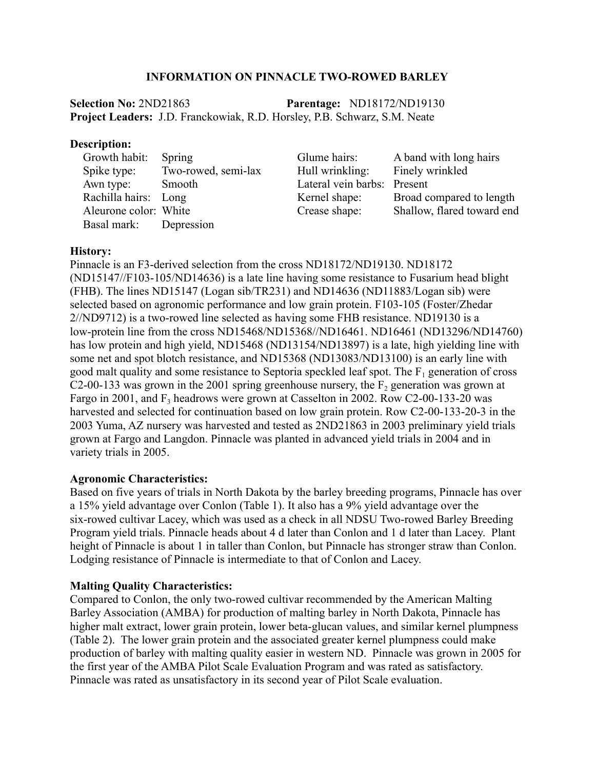#### **INFORMATION ON PINNACLE TWO-ROWED BARLEY**

**Selection No:** 2ND21863 **Parentage:** ND18172/ND19130 **Project Leaders:** J.D. Franckowiak, R.D. Horsley, P.B. Schwarz, S.M. Neate

#### **Description:**

| Growth habit:          | Spring              |
|------------------------|---------------------|
| Spike type:            | Two-rowed, semi-lax |
| Awn type:              | Smooth              |
| Rachilla hairs: Long   |                     |
| Aleurone color: White  |                     |
| Basal mark: Depression |                     |

Glume hairs: A band with long hairs Hull wrinkling: Finely wrinkled Lateral vein barbs: Present Kernel shape: Broad compared to length Crease shape: Shallow, flared toward end

#### **History:**

Pinnacle is an F3-derived selection from the cross ND18172/ND19130. ND18172 (ND15147//F103-105/ND14636) is a late line having some resistance to Fusarium head blight (FHB). The lines ND15147 (Logan sib/TR231) and ND14636 (ND11883/Logan sib) were selected based on agronomic performance and low grain protein. F103-105 (Foster/Zhedar 2//ND9712) is a two-rowed line selected as having some FHB resistance. ND19130 is a low-protein line from the cross ND15468/ND15368//ND16461. ND16461 (ND13296/ND14760) has low protein and high yield, ND15468 (ND13154/ND13897) is a late, high yielding line with some net and spot blotch resistance, and ND15368 (ND13083/ND13100) is an early line with good malt quality and some resistance to Septoria speckled leaf spot. The  $F_1$  generation of cross C2-00-133 was grown in the 2001 spring greenhouse nursery, the  $F<sub>2</sub>$  generation was grown at Fargo in 2001, and  $F_3$  headrows were grown at Casselton in 2002. Row C2-00-133-20 was harvested and selected for continuation based on low grain protein. Row C2-00-133-20-3 in the 2003 Yuma, AZ nursery was harvested and tested as 2ND21863 in 2003 preliminary yield trials grown at Fargo and Langdon. Pinnacle was planted in advanced yield trials in 2004 and in variety trials in 2005.

#### **Agronomic Characteristics:**

Based on five years of trials in North Dakota by the barley breeding programs, Pinnacle has over a 15% yield advantage over Conlon (Table 1). It also has a 9% yield advantage over the six-rowed cultivar Lacey, which was used as a check in all NDSU Two-rowed Barley Breeding Program yield trials. Pinnacle heads about 4 d later than Conlon and 1 d later than Lacey. Plant height of Pinnacle is about 1 in taller than Conlon, but Pinnacle has stronger straw than Conlon. Lodging resistance of Pinnacle is intermediate to that of Conlon and Lacey.

#### **Malting Quality Characteristics:**

Compared to Conlon, the only two-rowed cultivar recommended by the American Malting Barley Association (AMBA) for production of malting barley in North Dakota, Pinnacle has higher malt extract, lower grain protein, lower beta-glucan values, and similar kernel plumpness (Table 2). The lower grain protein and the associated greater kernel plumpness could make production of barley with malting quality easier in western ND. Pinnacle was grown in 2005 for the first year of the AMBA Pilot Scale Evaluation Program and was rated as satisfactory. Pinnacle was rated as unsatisfactory in its second year of Pilot Scale evaluation.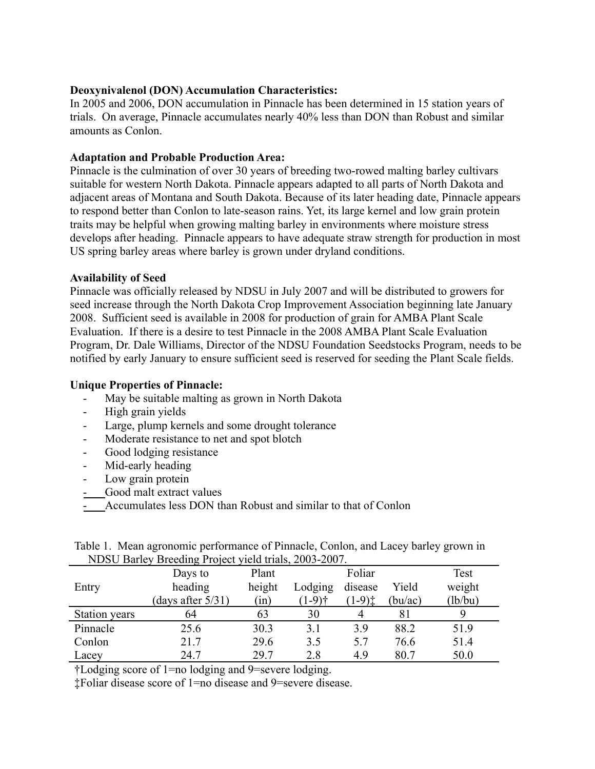#### **Deoxynivalenol (DON) Accumulation Characteristics:**

In 2005 and 2006, DON accumulation in Pinnacle has been determined in 15 station years of trials. On average, Pinnacle accumulates nearly 40% less than DON than Robust and similar amounts as Conlon.

#### **Adaptation and Probable Production Area:**

Pinnacle is the culmination of over 30 years of breeding two-rowed malting barley cultivars suitable for western North Dakota. Pinnacle appears adapted to all parts of North Dakota and adjacent areas of Montana and South Dakota. Because of its later heading date, Pinnacle appears to respond better than Conlon to late-season rains. Yet, its large kernel and low grain protein traits may be helpful when growing malting barley in environments where moisture stress develops after heading. Pinnacle appears to have adequate straw strength for production in most US spring barley areas where barley is grown under dryland conditions.

#### **Availability of Seed**

Pinnacle was officially released by NDSU in July 2007 and will be distributed to growers for seed increase through the North Dakota Crop Improvement Association beginning late January 2008. Sufficient seed is available in 2008 for production of grain for AMBA Plant Scale Evaluation. If there is a desire to test Pinnacle in the 2008 AMBA Plant Scale Evaluation Program, Dr. Dale Williams, Director of the NDSU Foundation Seedstocks Program, needs to be notified by early January to ensure sufficient seed is reserved for seeding the Plant Scale fields.

#### **Unique Properties of Pinnacle:**

- May be suitable malting as grown in North Dakota
- High grain yields
- Large, plump kernels and some drought tolerance
- Moderate resistance to net and spot blotch
- Good lodging resistance
- Mid-early heading
- Low grain protein
- Good malt extract values
- Accumulates less DON than Robust and similar to that of Conlon

| NDSU Barley Breeding Project yield trials, 2003-2007. |                      |        |           |                   |         |         |  |  |  |
|-------------------------------------------------------|----------------------|--------|-----------|-------------------|---------|---------|--|--|--|
|                                                       | Days to              | Plant  |           | Foliar            |         | Test    |  |  |  |
| Entry                                                 | heading              | height | Lodging   | disease           | Yield   | weight  |  |  |  |
|                                                       | (days after $5/31$ ) | (in)   | $(1-9)$ † | $(1-9)$ $\dagger$ | (bu/ac) | (lb/bu) |  |  |  |
| Station years                                         | 64                   | 63     | 30        | 4                 | 81      |         |  |  |  |
| Pinnacle                                              | 25.6                 | 30.3   | 3.1       | 39                | 88.2    | 51.9    |  |  |  |
| Conlon                                                | 21.7                 | 29.6   | 3.5       | 5.7               | 76.6    | 51.4    |  |  |  |
| Lacey                                                 | 24.7                 | 29.7   | 2.8       | 49                | 80.7    | 50.0    |  |  |  |

Table 1. Mean agronomic performance of Pinnacle, Conlon, and Lacey barley grown in NDSU Barley Breeding Project yield trials, 2003-2007.

†Lodging score of 1=no lodging and 9=severe lodging.

‡Foliar disease score of 1=no disease and 9=severe disease.